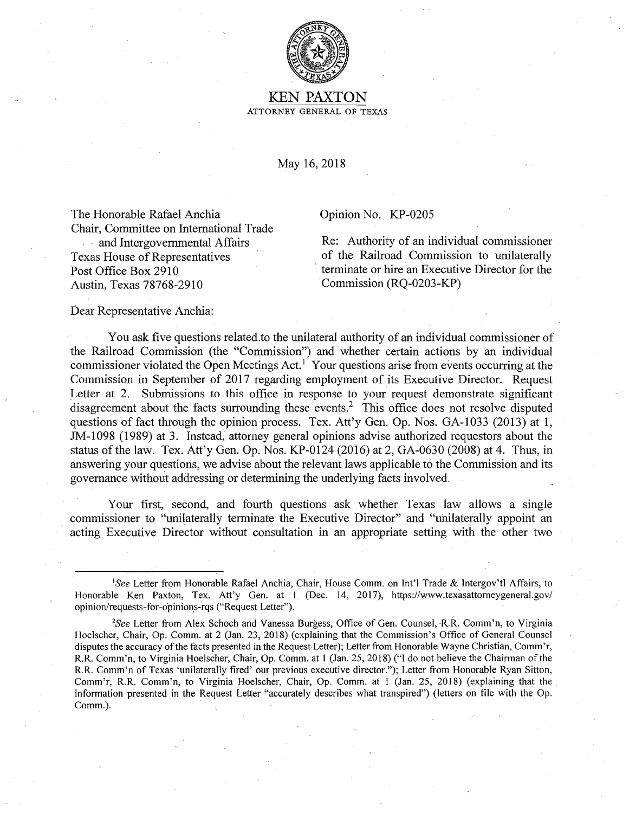

## KEN PAXTON ATTORNEY GENERAL OF TEXAS

May 16, 2018

The Honorable Rafael Anchia Chair, Committee on International Trade and Intergovernmental Affairs Texas House of Representatives Post Office Box 2910 Austin, Texas 78768-2910

Opinion No. KP-0205

Re: Authority of an individual commissioner of the Railroad Commission to unilaterally terminate or hire an Executive Director for the Commission (RQ-0203-KP)

Dear Representative Anchia:

You ask five questions related.to the unilateral authority of an individual commissioner of the Railroad Commission (the "Commission") and whether certain actions by an individual commissioner violated the Open Meetings Act.<sup>1</sup> Your questions arise from events occurring at the Commission in September of 2017 regarding employment of its Executive Director. Request Letter at 2. Submissions to this office in response to your request demonstrate significant disagreement about the facts surrounding these events.<sup>2</sup> This office does not resolve disputed questions of fact through the opinion process. Tex. Att'y Gen. Op. Nos. GA-1033 (2013) at 1, JM-1098 (1989) at 3. Instead, attorney general opinions advise authorized requestors about the status of the law. Tex. Att'y Gen. Op. Nos. KP-0124 (2016) at 2, GA-0630 (2008) at 4. Thus, in answering your questions, we advise about the relevant laws applicable to the Commission and its governance without addressing or determining the underlying facts involved.

Your first, second, and fourth questions ask whether Texas law allows a single commissioner to "unilaterally terminate the Executive Director" and "unilaterally appoint an acting Executive Director without consultation in an appropriate setting with the other two

<sup>&</sup>lt;sup>1</sup>See Letter from Honorable Rafael Anchia, Chair, House Comm. on Int'l Trade & Intergov'tl Affairs, to Honorable Ken Paxton, Tex. Att'y Gen. at 1 (Dec. 14, 2017), https://www.texasattorneygeneral.gov/ opinion/requests-for-opinions-rqs ("Request Letter").

<sup>2</sup> *See* Letter from Alex Schoch and Vanessa Burgess, Office of Gen. Counsel, **R.R.** Comm'n, to Virginia Hoelscher, Chair, Op. Comm. at 2 (Jan. 23, 2018) (explaining that the Commission's Office of General Counsel disputes the accuracy of the facts presented in the Request Letter); Letter from Honorable Wayne Christian, Comm'r, R.R. Comm'n, to Virginia Hoelscher, Chair, Op. Comm. at 1 (Jan. 25, 2018) ("I do not believe the Chairman of the R.R. Comm'n of Texas 'unilaterally fired' our previous executive director."); Letter from Honorable Ryan Sitton, Comm'r, R.R. Comm'n, to Virginia Hoelscher, Chair, Op. Comm. at 1 (Jan. 25, 2018) (explaining that the information presented in the Request Letter "accurately describes what transpired") (letters on file with the Op. Comm.).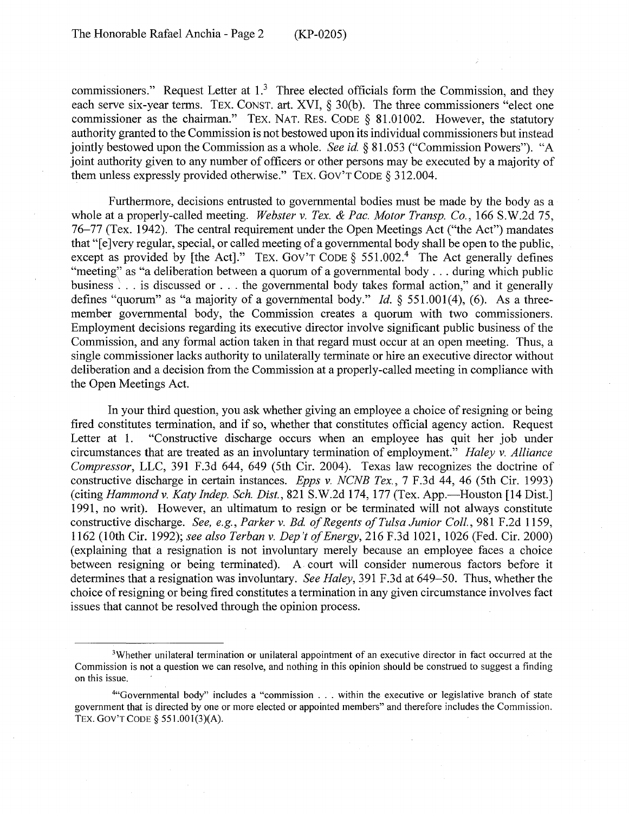commissioners." Request Letter at  $1<sup>3</sup>$  Three elected officials form the Commission, and they each serve six-year terms. TEX. CONST. art. XVI, § 30(b). The three commissioners "elect one commissioner as the chairman." TEX. NAT. RES. CODE § 81.01002. However, the statutory authority granted to the Commission is not bestowed upon its individual commissioners but instead jointly bestowed upon the Commission as a whole. *See id.* § 81.053 ("Commission Powers"). "A joint authority given to any number of officers or other persons may be executed by a majority of them unless expressly provided otherwise." TEX. GOV'T CODE § 312.004.

Furthermore, decisions entrusted to governmental bodies must be made by the body as a whole at a properly-called meeting. *Webster v. Tex. & Pac. Motor Transp. Co.,* 166 S.W.2d 75, 76-77 (Tex. 1942). The central requirement under the Open Meetings Act ("the Act") mandates that "[e]very regular, special, or called meeting of a governmental body shall be open to the public, except as provided by [the Act]." TEX. GOV'T CODE  $\delta$  551.002.<sup>4</sup> The Act generally defines "meeting" as "a deliberation between a quorum of a governmental body . . . during which public business . . . is discussed or . . . the governmental body takes formal action," and it generally defines "quorum" as "a majority of a governmental body." *Id.* § 551.001(4), (6). As a threemember governmental body, the Commission creates a quorum with two commissioners. Employment decisions regarding its executive director involve significant public business of the Commission, and any formal action taken in that regard must occur at an open meeting. Thus, a single commissioner lacks authority to unilaterally terminate or hire an executive director without deliberation and a decision from the Commission at a properly-called meeting in compliance with the Open Meetings Act.

In your third question, you ask whether giving an employee a choice of resigning or being fired constitutes termination, and if so, whether that constitutes official agency action. Request Letter at 1. "Constructive discharge occurs when an employee has quit her job under circumstances that are treated as an involuntary termination of employment." *Haley v. Alliance Compressor,* LLC, 391 F.3d 644, 649 (5th Cir. 2004). Texas law recognizes the doctrine of constructive discharge in certain instances. *Epps v. NCNB Tex.,* 7 F.3d 44, 46 (5th Cir. 1993) (citing *Hammond v. Katy Indep. Sch. Dist.*, 821 S.W.2d 174, 177 (Tex. App.--Houston [14 Dist.] 1991, no writ). However, an ultimatum to resign or be terminated will not always constitute constructive discharge. *See, e.g., Parker v. Bd. of Regents of Tulsa Junior Coll.,* 981 F.2d 1159, 1162 (10th Cir. 1992); *see also Terban v. Dep't of Energy,* 216 F.3d 1021, 1026 (Fed. Cir. 2000) ( explaining that a resignation is not involuntary merely because an employee faces a choice between resigning or being terminated). A court will consider numerous factors before it determines that a resignation was involuntary. *See Haley,* 391 F.3d at 649-50. Thus, whether the choice of resigning or being fired constitutes a termination in any given circumstance involves fact issues that cannot be resolved through the opinion process.

<sup>3</sup>Whether unilateral termination or unilateral appointment of an executive director in fact occurred at the Commission is not a question we can resolve, and nothing in this opinion should be construed to suggest a finding on this issue.

<sup>4</sup> "Govemmental body" includes a "commission ... within the executive or legislative branch of state government that is directed by one or more elected or appointed members" and therefore includes the Commission. TEX. GOV'T CODE § 551.001(3)(A).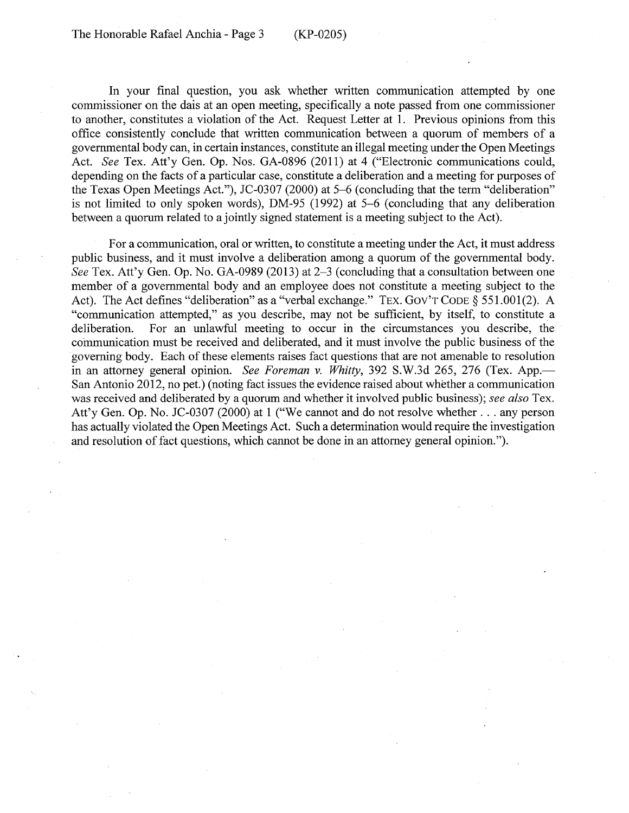In your final question, you ask whether written communication attempted by one commissioner on the dais at an open meeting, specifically a note passed from one commissioner to another, constitutes a violation of the Act. Request Letter at 1. Previous opinions from this office consistently conclude that written communication between a quorum of members of a governmental body can, in certain instances, constitute an illegal meeting under the Open Meetings Act. *See* Tex. Att'y Gen. Op. Nos. GA-0896 (2011) at 4 ("Electronic communications could, depending on the facts of a particular case, constitute a deliberation and a meeting for purposes of the Texas Open Meetings Act."), JC-0307 (2000) at 5-6 (concluding that the term "deliberation" is not limited to only spoken words), DM-95 (1992) at 5-6 ( concluding that any deliberation between a quorum related to a jointly signed statement is a meeting subject to the Act).

For a communication, oral or written, to constitute a meeting under the Act, it must address public business, and it must involve a deliberation among a quorum of the governmental body. *See* Tex. Att'y Gen. Op. No. GA-0989 (2013) at 2-3 (concluding that a consultation between one member of a governmental body and an employee does not constitute a meeting subject to the Act). The Act defines "deliberation" as a "verbal exchange." TEX. GOV'T CODE § 551.001(2). A "communication attempted," as you describe, may not be sufficient, by itself, to constitute a deliberation. For an unlawful meeting to occur in the circumstances you describe, the communication must be received and deliberated, and it must involve the public business of the governing body. Each of these elements raises fact questions that are not amenable to resolution in an attorney general opinion. *See Foreman v. Whitty*, 392 S.W.3d 265, 276 (Tex. App.— San Antonio 2012, no pet.) (noting fact issues the evidence raised about whether a communication was received and deliberated by a quorum and whether it involved public business); *see also* Tex. Att'y Gen. Op. No. JC-0307 (2000) at 1 ("We cannot and do not resolve whether ... any person has actually violated the Open Meetings Act. Such a determination would require the investigation and resolution of fact questions, which cannot be done in an attorney general opinion.").